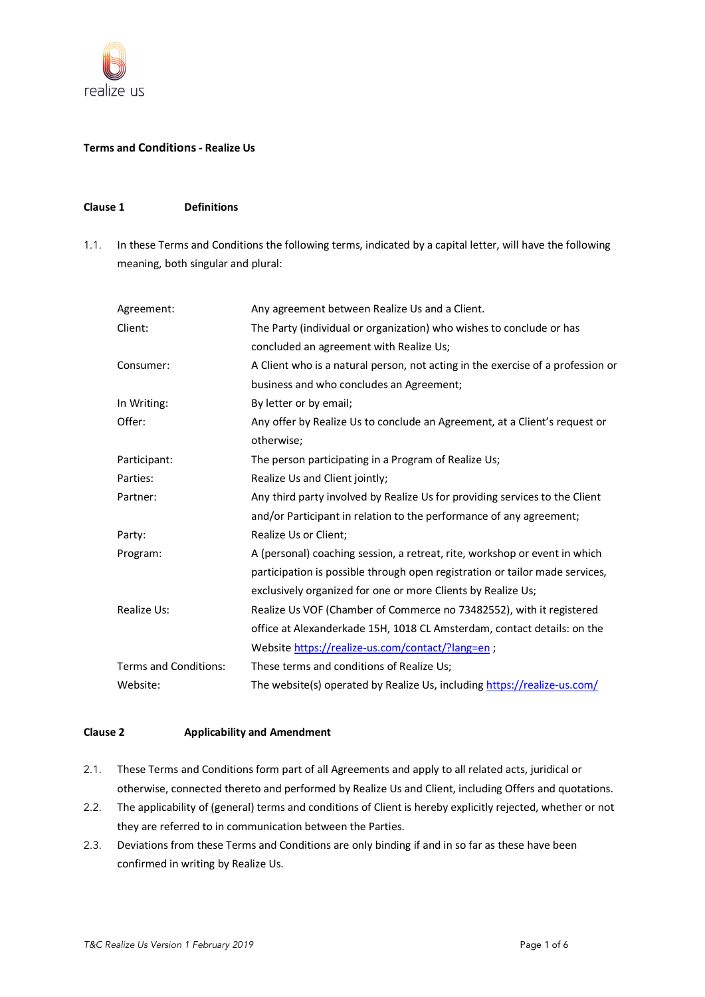

## **Terms and Conditions- Realize Us**

# **Clause 1 Definitions**

1.1. In these Terms and Conditions the following terms, indicated by a capital letter, will have the following meaning, both singular and plural:

| Agreement:            | Any agreement between Realize Us and a Client.                                  |
|-----------------------|---------------------------------------------------------------------------------|
| Client:               | The Party (individual or organization) who wishes to conclude or has            |
|                       | concluded an agreement with Realize Us;                                         |
| Consumer:             | A Client who is a natural person, not acting in the exercise of a profession or |
|                       | business and who concludes an Agreement;                                        |
| In Writing:           | By letter or by email;                                                          |
| Offer:                | Any offer by Realize Us to conclude an Agreement, at a Client's request or      |
|                       | otherwise;                                                                      |
| Participant:          | The person participating in a Program of Realize Us;                            |
| Parties:              | Realize Us and Client jointly;                                                  |
| Partner:              | Any third party involved by Realize Us for providing services to the Client     |
|                       | and/or Participant in relation to the performance of any agreement;             |
| Party:                | Realize Us or Client;                                                           |
| Program:              | A (personal) coaching session, a retreat, rite, workshop or event in which      |
|                       | participation is possible through open registration or tailor made services,    |
|                       | exclusively organized for one or more Clients by Realize Us;                    |
| Realize Us:           | Realize Us VOF (Chamber of Commerce no 73482552), with it registered            |
|                       | office at Alexanderkade 15H, 1018 CL Amsterdam, contact details: on the         |
|                       | Website https://realize-us.com/contact/?lang=en;                                |
| Terms and Conditions: | These terms and conditions of Realize Us;                                       |
| Website:              | The website(s) operated by Realize Us, including https://realize-us.com/        |

### **Clause 2 Applicability and Amendment**

- 2.1. These Terms and Conditions form part of all Agreements and apply to all related acts, juridical or otherwise, connected thereto and performed by Realize Us and Client, including Offers and quotations.
- 2.2. The applicability of (general) terms and conditions of Client is hereby explicitly rejected, whether or not they are referred to in communication between the Parties.
- 2.3. Deviations from these Terms and Conditions are only binding if and in so far as these have been confirmed in writing by Realize Us.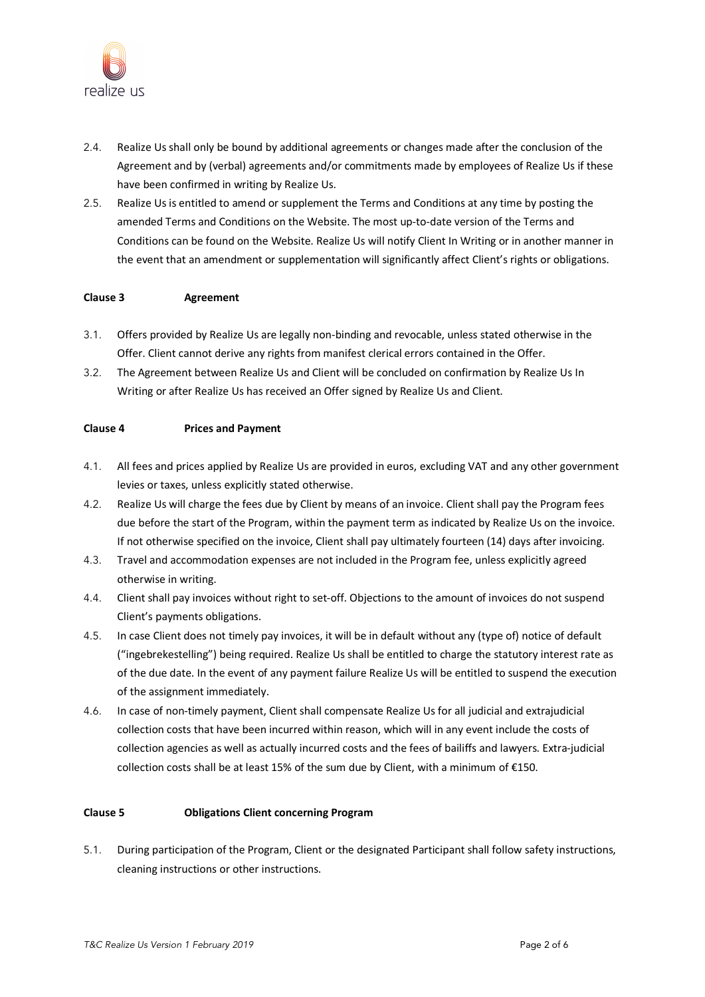

- 2.4. Realize Us shall only be bound by additional agreements or changes made after the conclusion of the Agreement and by (verbal) agreements and/or commitments made by employees of Realize Us if these have been confirmed in writing by Realize Us.
- 2.5. Realize Us is entitled to amend or supplement the Terms and Conditions at any time by posting the amended Terms and Conditions on the Website. The most up-to-date version of the Terms and Conditions can be found on the Website. Realize Us will notify Client In Writing or in another manner in the event that an amendment or supplementation will significantly affect Client's rights or obligations.

#### **Clause 3 Agreement**

- 3.1. Offers provided by Realize Us are legally non-binding and revocable, unless stated otherwise in the Offer. Client cannot derive any rights from manifest clerical errors contained in the Offer.
- 3.2. The Agreement between Realize Us and Client will be concluded on confirmation by Realize Us In Writing or after Realize Us has received an Offer signed by Realize Us and Client.

### **Clause 4 Prices and Payment**

- 4.1. All fees and prices applied by Realize Us are provided in euros, excluding VAT and any other government levies or taxes, unless explicitly stated otherwise.
- 4.2. Realize Us will charge the fees due by Client by means of an invoice. Client shall pay the Program fees due before the start of the Program, within the payment term as indicated by Realize Us on the invoice. If not otherwise specified on the invoice, Client shall pay ultimately fourteen (14) days after invoicing.
- 4.3. Travel and accommodation expenses are not included in the Program fee, unless explicitly agreed otherwise in writing.
- 4.4. Client shall pay invoices without right to set-off. Objections to the amount of invoices do not suspend Client's payments obligations.
- 4.5. In case Client does not timely pay invoices, it will be in default without any (type of) notice of default ("ingebrekestelling") being required. Realize Us shall be entitled to charge the statutory interest rate as of the due date. In the event of any payment failure Realize Us will be entitled to suspend the execution of the assignment immediately.
- 4.6. In case of non-timely payment, Client shall compensate Realize Us for all judicial and extrajudicial collection costs that have been incurred within reason, which will in any event include the costs of collection agencies as well as actually incurred costs and the fees of bailiffs and lawyers. Extra-judicial collection costs shall be at least 15% of the sum due by Client, with a minimum of €150.

#### **Clause 5 Obligations Client concerning Program**

5.1. During participation of the Program, Client or the designated Participant shall follow safety instructions, cleaning instructions or other instructions.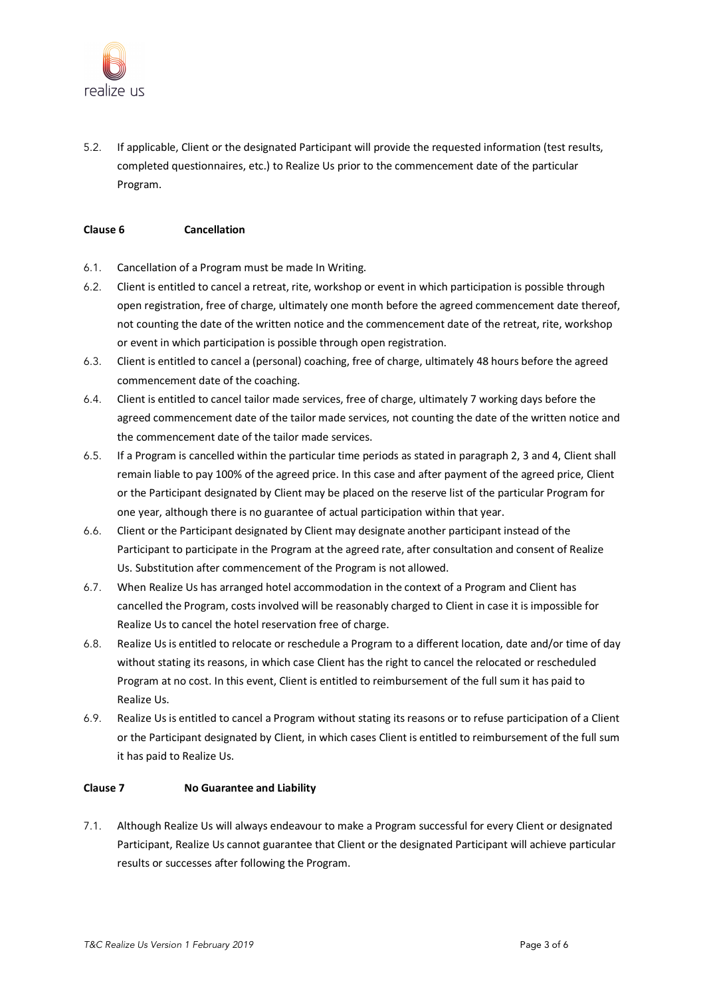

5.2. If applicable, Client or the designated Participant will provide the requested information (test results, completed questionnaires, etc.) to Realize Us prior to the commencement date of the particular Program.

#### **Clause 6 Cancellation**

- 6.1. Cancellation of a Program must be made In Writing.
- 6.2. Client is entitled to cancel a retreat, rite, workshop or event in which participation is possible through open registration, free of charge, ultimately one month before the agreed commencement date thereof, not counting the date of the written notice and the commencement date of the retreat, rite, workshop or event in which participation is possible through open registration.
- 6.3. Client is entitled to cancel a (personal) coaching, free of charge, ultimately 48 hours before the agreed commencement date of the coaching.
- 6.4. Client is entitled to cancel tailor made services, free of charge, ultimately 7 working days before the agreed commencement date of the tailor made services, not counting the date of the written notice and the commencement date of the tailor made services.
- 6.5. If a Program is cancelled within the particular time periods as stated in paragraph 2, 3 and 4, Client shall remain liable to pay 100% of the agreed price. In this case and after payment of the agreed price, Client or the Participant designated by Client may be placed on the reserve list of the particular Program for one year, although there is no guarantee of actual participation within that year.
- 6.6. Client or the Participant designated by Client may designate another participant instead of the Participant to participate in the Program at the agreed rate, after consultation and consent of Realize Us. Substitution after commencement of the Program is not allowed.
- 6.7. When Realize Us has arranged hotel accommodation in the context of a Program and Client has cancelled the Program, costs involved will be reasonably charged to Client in case it is impossible for Realize Us to cancel the hotel reservation free of charge.
- 6.8. Realize Us is entitled to relocate or reschedule a Program to a different location, date and/or time of day without stating its reasons, in which case Client has the right to cancel the relocated or rescheduled Program at no cost. In this event, Client is entitled to reimbursement of the full sum it has paid to Realize Us.
- 6.9. Realize Us is entitled to cancel a Program without stating its reasons or to refuse participation of a Client or the Participant designated by Client, in which cases Client is entitled to reimbursement of the full sum it has paid to Realize Us.

#### **Clause 7 No Guarantee and Liability**

7.1. Although Realize Us will always endeavour to make a Program successful for every Client or designated Participant, Realize Us cannot guarantee that Client or the designated Participant will achieve particular results or successes after following the Program.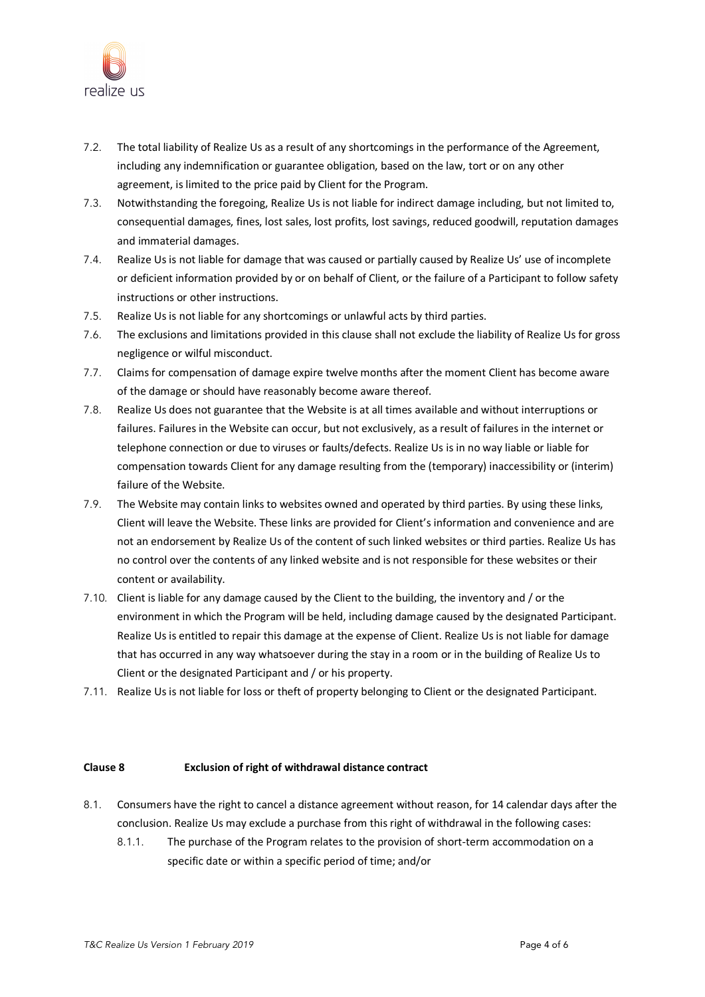

- 7.2. The total liability of Realize Us as a result of any shortcomings in the performance of the Agreement, including any indemnification or guarantee obligation, based on the law, tort or on any other agreement, is limited to the price paid by Client for the Program.
- 7.3. Notwithstanding the foregoing, Realize Us is not liable for indirect damage including, but not limited to, consequential damages, fines, lost sales, lost profits, lost savings, reduced goodwill, reputation damages and immaterial damages.
- 7.4. Realize Us is not liable for damage that was caused or partially caused by Realize Us' use of incomplete or deficient information provided by or on behalf of Client, or the failure of a Participant to follow safety instructions or other instructions.
- 7.5. Realize Us is not liable for any shortcomings or unlawful acts by third parties.
- 7.6. The exclusions and limitations provided in this clause shall not exclude the liability of Realize Us for gross negligence or wilful misconduct.
- 7.7. Claims for compensation of damage expire twelve months after the moment Client has become aware of the damage or should have reasonably become aware thereof.
- 7.8. Realize Us does not guarantee that the Website is at all times available and without interruptions or failures. Failures in the Website can occur, but not exclusively, as a result of failures in the internet or telephone connection or due to viruses or faults/defects. Realize Us is in no way liable or liable for compensation towards Client for any damage resulting from the (temporary) inaccessibility or (interim) failure of the Website.
- 7.9. The Website may contain links to websites owned and operated by third parties. By using these links, Client will leave the Website. These links are provided for Client's information and convenience and are not an endorsement by Realize Us of the content of such linked websites or third parties. Realize Us has no control over the contents of any linked website and is not responsible for these websites or their content or availability.
- 7.10. Client is liable for any damage caused by the Client to the building, the inventory and / or the environment in which the Program will be held, including damage caused by the designated Participant. Realize Us is entitled to repair this damage at the expense of Client. Realize Us is not liable for damage that has occurred in any way whatsoever during the stay in a room or in the building of Realize Us to Client or the designated Participant and / or his property.
- 7.11. Realize Us is not liable for loss or theft of property belonging to Client or the designated Participant.

#### **Clause 8 Exclusion of right of withdrawal distance contract**

- 8.1. Consumers have the right to cancel a distance agreement without reason, for 14 calendar days after the conclusion. Realize Us may exclude a purchase from this right of withdrawal in the following cases:
	- 8.1.1. The purchase of the Program relates to the provision of short-term accommodation on a specific date or within a specific period of time; and/or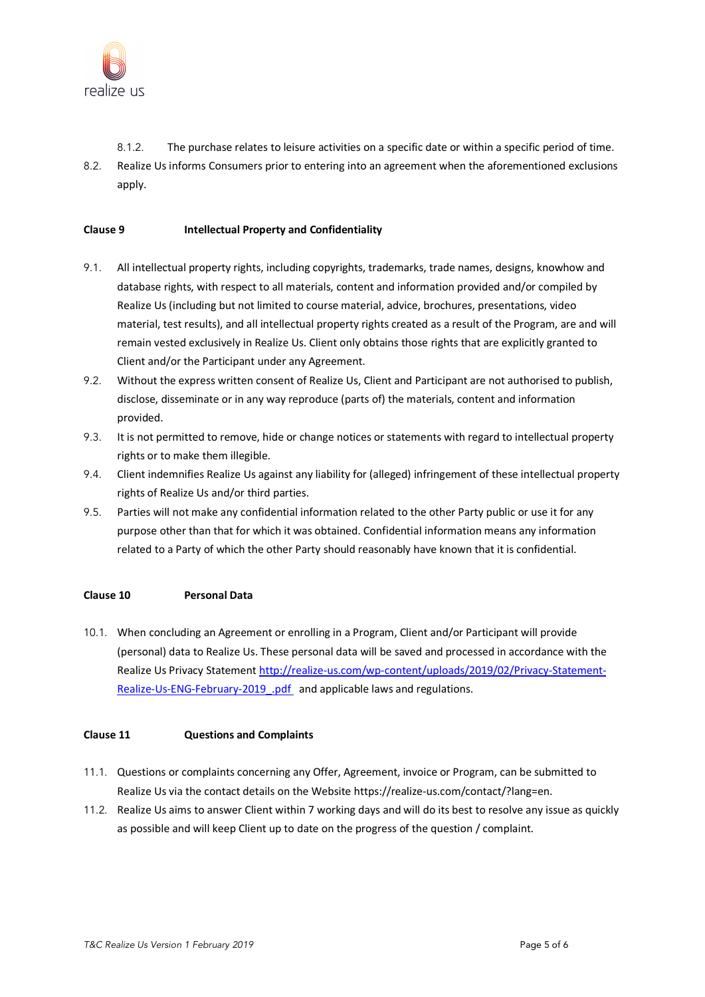

- 8.1.2. The purchase relates to leisure activities on a specific date or within a specific period of time.
- 8.2. Realize Us informs Consumers prior to entering into an agreement when the aforementioned exclusions apply.

### **Clause 9 Intellectual Property and Confidentiality**

- 9.1. All intellectual property rights, including copyrights, trademarks, trade names, designs, knowhow and database rights, with respect to all materials, content and information provided and/or compiled by Realize Us (including but not limited to course material, advice, brochures, presentations, video material, test results), and all intellectual property rights created as a result of the Program, are and will remain vested exclusively in Realize Us. Client only obtains those rights that are explicitly granted to Client and/or the Participant under any Agreement.
- 9.2. Without the express written consent of Realize Us, Client and Participant are not authorised to publish, disclose, disseminate or in any way reproduce (parts of) the materials, content and information provided.
- 9.3. It is not permitted to remove, hide or change notices or statements with regard to intellectual property rights or to make them illegible.
- 9.4. Client indemnifies Realize Us against any liability for (alleged) infringement of these intellectual property rights of Realize Us and/or third parties.
- 9.5. Parties will not make any confidential information related to the other Party public or use it for any purpose other than that for which it was obtained. Confidential information means any information related to a Party of which the other Party should reasonably have known that it is confidential.

## **Clause 10 Personal Data**

10.1. When concluding an Agreement or enrolling in a Program, Client and/or Participant will provide (personal) data to Realize Us. These personal data will be saved and processed in accordance with the Realize Us Privacy Statement http://realize-us.com/wp-content/uploads/2019/02/Privacy-Statement-Realize-Us-ENG-February-2019\_.pdf and applicable laws and regulations.

#### **Clause 11 Questions and Complaints**

- 11.1. Questions or complaints concerning any Offer, Agreement, invoice or Program, can be submitted to Realize Us via the contact details on the Website https://realize-us.com/contact/?lang=en.
- 11.2. Realize Us aims to answer Client within 7 working days and will do its best to resolve any issue as quickly as possible and will keep Client up to date on the progress of the question / complaint.